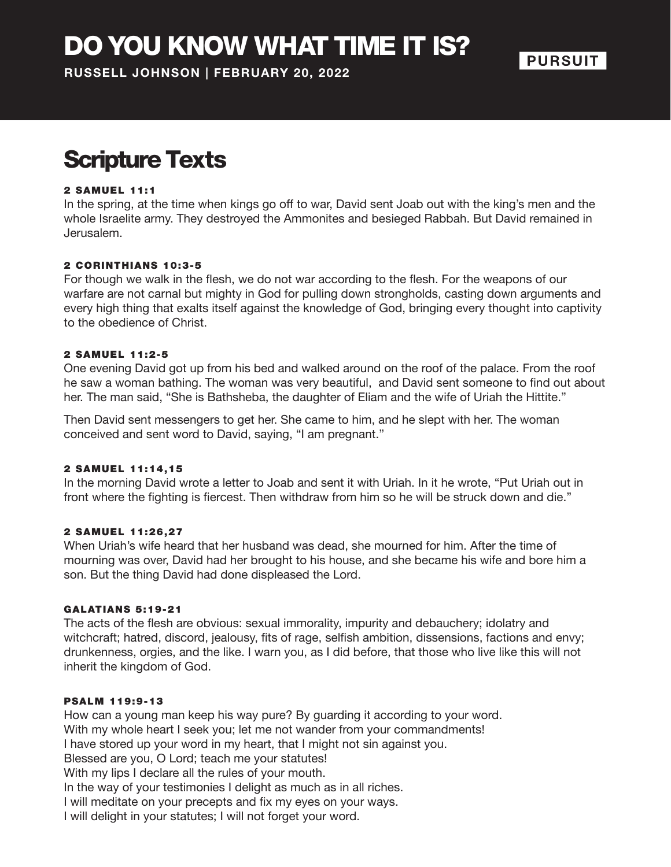DO YOU KNOW WHAT TIME IT IS?

**RUSSELL JOHNSON | FEBRUARY 20, 2022**

### **PURSUIT**

## Scripture Texts

#### 2 SAMUEL 11:1

In the spring, at the time when kings go off to war, David sent Joab out with the king's men and the whole Israelite army. They destroyed the Ammonites and besieged Rabbah. But David remained in Jerusalem.

#### 2 CORINTHIANS 10:3-5

For though we walk in the flesh, we do not war according to the flesh. For the weapons of our warfare are not carnal but mighty in God for pulling down strongholds, casting down arguments and every high thing that exalts itself against the knowledge of God, bringing every thought into captivity to the obedience of Christ.

#### 2 SAMUEL 11 :2-5

One evening David got up from his bed and walked around on the roof of the palace. From the roof he saw a woman bathing. The woman was very beautiful, and David sent someone to find out about her. The man said, "She is Bathsheba, the daughter of Eliam and the wife of Uriah the Hittite."

Then David sent messengers to get her. She came to him, and he slept with her. The woman conceived and sent word to David, saying, "I am pregnant."

#### 2 SAMUEL 11 :14 ,15

In the morning David wrote a letter to Joab and sent it with Uriah. In it he wrote, "Put Uriah out in front where the fighting is fiercest. Then withdraw from him so he will be struck down and die."

#### 2 SAMUEL 11:26.27

When Uriah's wife heard that her husband was dead, she mourned for him. After the time of mourning was over, David had her brought to his house, and she became his wife and bore him a son. But the thing David had done displeased the Lord.

#### **GALATIANS 5:19-21**

The acts of the flesh are obvious: sexual immorality, impurity and debauchery; idolatry and witchcraft; hatred, discord, jealousy, fits of rage, selfish ambition, dissensions, factions and envy; drunkenness, orgies, and the like. I warn you, as I did before, that those who live like this will not inherit the kingdom of God.

#### **PSALM 119:9-13**

How can a young man keep his way pure? By guarding it according to your word. With my whole heart I seek you; let me not wander from your commandments! I have stored up your word in my heart, that I might not sin against you. Blessed are you, O Lord; teach me your statutes! With my lips I declare all the rules of your mouth. In the way of your testimonies I delight as much as in all riches. I will meditate on your precepts and fix my eyes on your ways. I will delight in your statutes; I will not forget your word.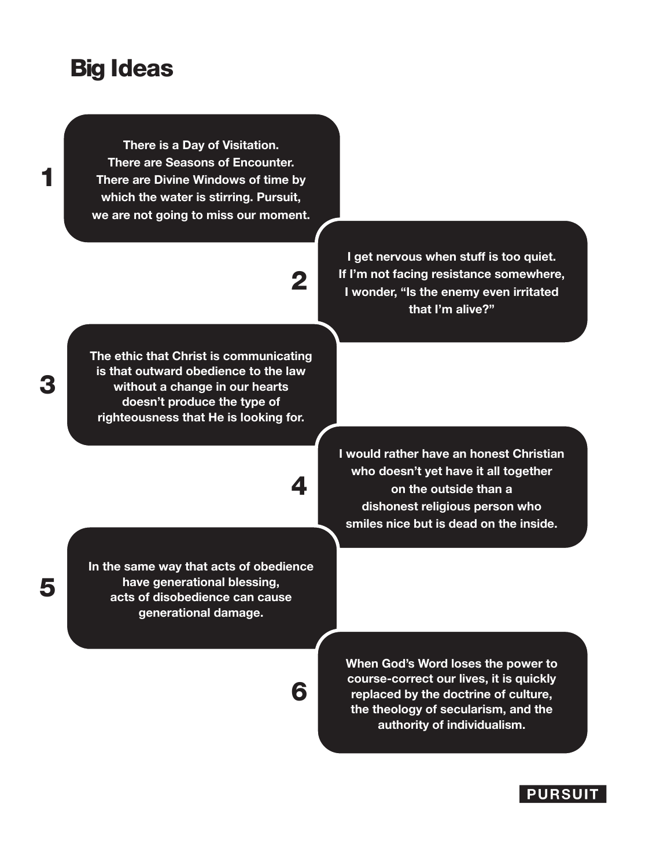## Big Ideas

**There is a Day of Visitation. There are Seasons of Encounter. There are Divine Windows of time by which the water is stirring. Pursuit, we are not going to miss our moment.** 

# 2

4

6

**The ethic that Christ is communicating is that outward obedience to the law without a change in our hearts doesn't produce the type of righteousness that He is looking for.**

**I get nervous when stuff is too quiet. If I'm not facing resistance somewhere, I wonder, "Is the enemy even irritated that I'm alive?"**

**I would rather have an honest Christian who doesn't yet have it all together on the outside than a dishonest religious person who smiles nice but is dead on the inside.**

**In the same way that acts of obedience have generational blessing, acts of disobedience can cause generational damage.** 

> **When God's Word loses the power to course-correct our lives, it is quickly replaced by the doctrine of culture, the theology of secularism, and the authority of individualism.**



3

1

5